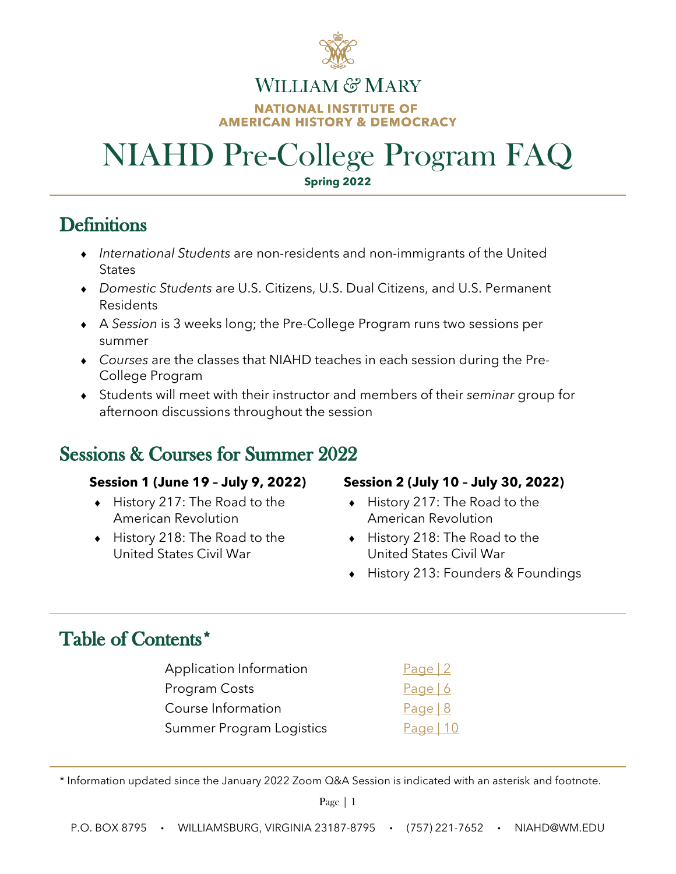

### WILLIAM & MARY **NATIONAL INSTITUTE OF AMERICAN HISTORY & DEMOCRACY**

## NIAHD Pre-College Program FAQ **Spring 2022**

- ♦ *International Students* are non-residents and non-immigrants of the United **States**
- ♦ *Domestic Students* are U.S. Citizens, U.S. Dual Citizens, and U.S. Permanent Residents
- ♦ A *Session* is 3 weeks long; the Pre-College Program runs two sessions per summer
- ♦ *Courses* are the classes that NIAHD teaches in each session during the Pre-College Program
- ♦ Students will meet with their instructor and members of their *seminar* group for afternoon discussions throughout the session

## **Sessions & Courses for Summer 2022**

- ♦ History 217: The Road to the American Revolution
- ♦ History 218: The Road to the United States Civil War

### **Session 1 (June 19 – July 9, 2022) Session 2 (July 10 – July 30, 2022)**

- ♦ History 217: The Road to the American Revolution
- ♦ History 218: The Road to the United States Civil War
- ♦ History 213: Founders & Foundings

## Table of Contents\*

 $\overline{a}$ 

 $\overline{a}$ 

| Application Information  | Page $ 2$   |
|--------------------------|-------------|
| Program Costs            | Page $6$    |
| Course Information       | Page $ 8$   |
| Summer Program Logistics | Page   $10$ |

\* Information updated since the January 2022 Zoom Q&A Session is indicated with an asterisk and footnote.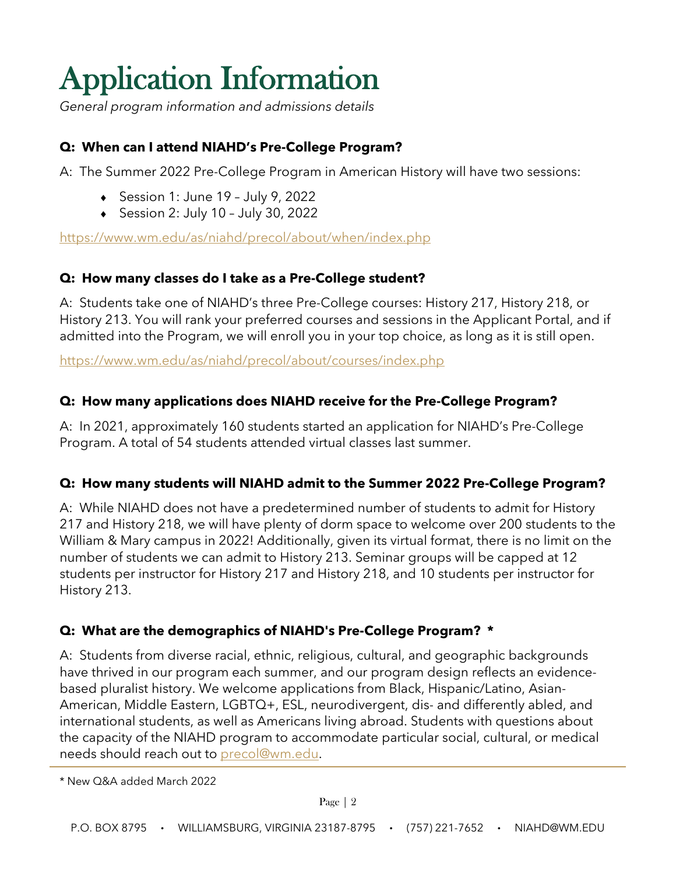# <span id="page-1-0"></span>**Application Information**

*General program information and admissions details*

### **Q: When can I attend NIAHD's Pre-College Program?**

A: The Summer 2022 Pre-College Program in American History will have two sessions:

- ♦ Session 1: June 19 July 9, 2022
- ♦ Session 2: July 10 July 30, 2022

<https://www.wm.edu/as/niahd/precol/about/when/index.php>

### **Q: How many classes do I take as a Pre-College student?**

A: Students take one of NIAHD's three Pre-College courses: History 217, History 218, or History 213. You will rank your preferred courses and sessions in the Applicant Portal, and if admitted into the Program, we will enroll you in your top choice, as long as it is still open.

<https://www.wm.edu/as/niahd/precol/about/courses/index.php>

### **Q: How many applications does NIAHD receive for the Pre-College Program?**

A: In 2021, approximately 160 students started an application for NIAHD's Pre-College Program. A total of 54 students attended virtual classes last summer.

### **Q: How many students will NIAHD admit to the Summer 2022 Pre-College Program?**

A: While NIAHD does not have a predetermined number of students to admit for History 217 and History 218, we will have plenty of dorm space to welcome over 200 students to the William & Mary campus in 2022! Additionally, given its virtual format, there is no limit on the number of students we can admit to History 213. Seminar groups will be capped at 12 students per instructor for History 217 and History 218, and 10 students per instructor for History 213.

### **Q: What are the demographics of NIAHD's Pre-College Program? \***

A: Students from diverse racial, ethnic, religious, cultural, and geographic backgrounds have thrived in our program each summer, and our program design reflects an evidencebased pluralist history. We welcome applications from Black, Hispanic/Latino, Asian-American, Middle Eastern, LGBTQ+, ESL, neurodivergent, dis- and differently abled, and international students, as well as Americans living abroad. Students with questions about the capacity of the NIAHD program to accommodate particular social, cultural, or medical needs should reach out to [precol@wm.edu.](mailto:precol@wm.edu)

\* New Q&A added March 2022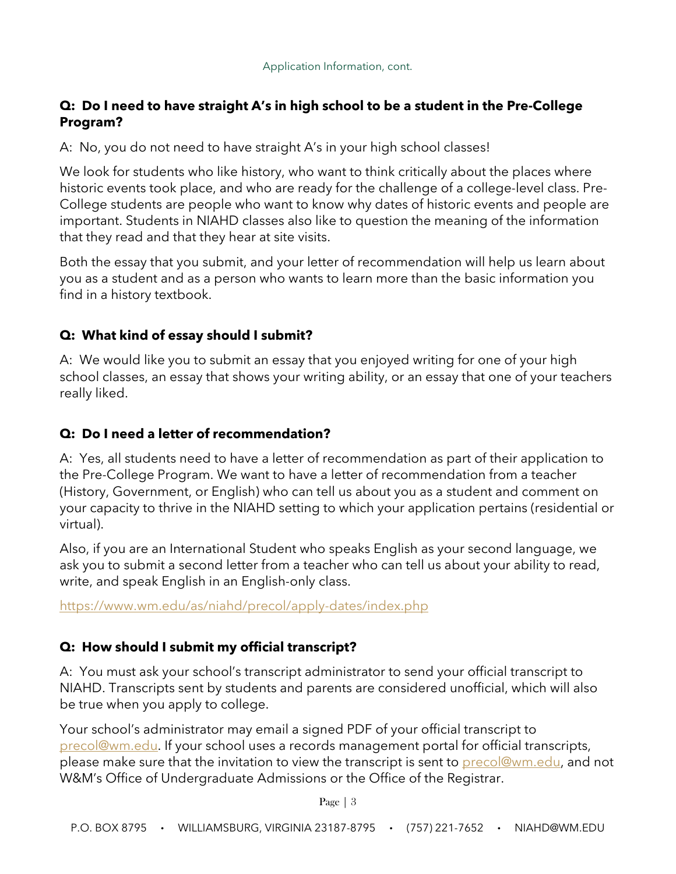### **Q: Do I need to have straight A's in high school to be a student in the Pre-College Program?**

A: No, you do not need to have straight A's in your high school classes!

We look for students who like history, who want to think critically about the places where historic events took place, and who are ready for the challenge of a college-level class. Pre-College students are people who want to know why dates of historic events and people are important. Students in NIAHD classes also like to question the meaning of the information that they read and that they hear at site visits.

Both the essay that you submit, and your letter of recommendation will help us learn about you as a student and as a person who wants to learn more than the basic information you find in a history textbook.

### **Q: What kind of essay should I submit?**

A: We would like you to submit an essay that you enjoyed writing for one of your high school classes, an essay that shows your writing ability, or an essay that one of your teachers really liked.

### **Q: Do I need a letter of recommendation?**

A: Yes, all students need to have a letter of recommendation as part of their application to the Pre-College Program. We want to have a letter of recommendation from a teacher (History, Government, or English) who can tell us about you as a student and comment on your capacity to thrive in the NIAHD setting to which your application pertains (residential or virtual).

Also, if you are an International Student who speaks English as your second language, we ask you to submit a second letter from a teacher who can tell us about your ability to read, write, and speak English in an English-only class.

<https://www.wm.edu/as/niahd/precol/apply-dates/index.php>

### **Q: How should I submit my official transcript?**

A: You must ask your school's transcript administrator to send your official transcript to NIAHD. Transcripts sent by students and parents are considered unofficial, which will also be true when you apply to college.

Your school's administrator may email a signed PDF of your official transcript to [precol@wm.edu.](mailto:precol@wm.edu) If your school uses a records management portal for official transcripts, please make sure that the invitation to view the transcript is sent to [precol@wm.edu,](mailto:precol@wm.edu) and not W&M's Office of Undergraduate Admissions or the Office of the Registrar.

Page | 3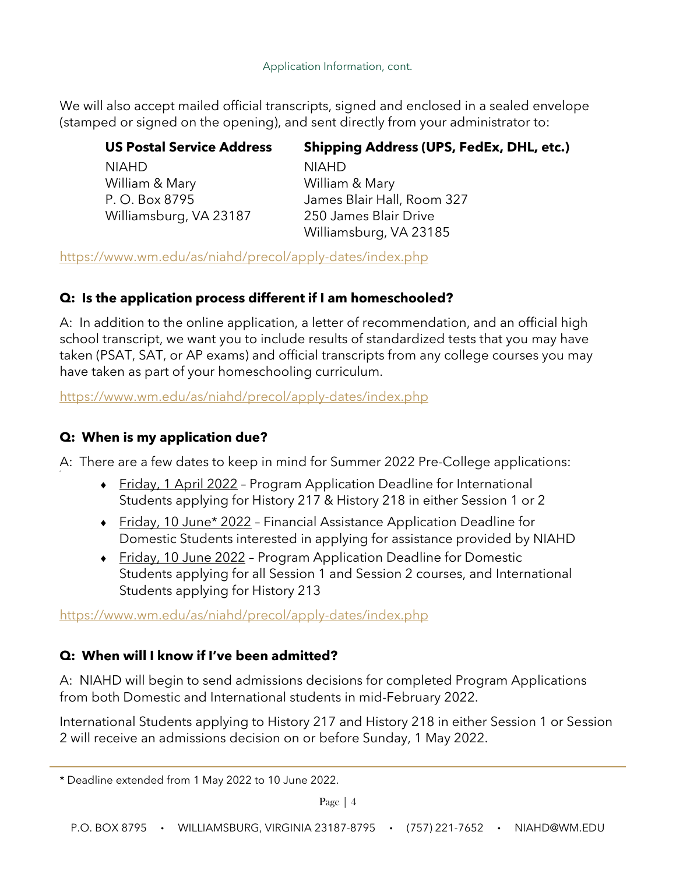### Application Information, cont.

We will also accept mailed official transcripts, signed and enclosed in a sealed envelope (stamped or signed on the opening), and sent directly from your administrator to:

| <b>US Postal Service Address</b> | <b>Shipping Address (UPS, FedEx, DHL, etc.)</b> |
|----------------------------------|-------------------------------------------------|
| <b>NIAHD</b>                     | <b>NIAHD</b>                                    |
| William & Mary                   | William & Mary                                  |
| P. O. Box 8795                   | James Blair Hall, Room 327                      |
| Williamsburg, VA 23187           | 250 James Blair Drive                           |
|                                  | Williamsburg, VA 23185                          |

<https://www.wm.edu/as/niahd/precol/apply-dates/index.php>

### **Q: Is the application process different if I am homeschooled?**

A: In addition to the online application, a letter of recommendation, and an official high school transcript, we want you to include results of standardized tests that you may have taken (PSAT, SAT, or AP exams) and official transcripts from any college courses you may have taken as part of your homeschooling curriculum.

<https://www.wm.edu/as/niahd/precol/apply-dates/index.php>

### **Q: When is my application due?**

A: There are a few dates to keep in mind for Summer 2022 Pre-College applications:

- ♦ Friday, 1 April 2022 Program Application Deadline for International Students applying for History 217 & History 218 in either Session 1 or 2
- ♦ Friday, 10 June\* 2022 Financial Assistance Application Deadline for Domestic Students interested in applying for assistance provided by NIAHD
- ◆ Friday, 10 June 2022 Program Application Deadline for Domestic Students applying for all Session 1 and Session 2 courses, and International Students applying for History 213

<https://www.wm.edu/as/niahd/precol/apply-dates/index.php>

### **Q: When will I know if I've been admitted?**

A: NIAHD will begin to send admissions decisions for completed Program Applications from both Domestic and International students in mid-February 2022.

International Students applying to History 217 and History 218 in either Session 1 or Session 2 will receive an admissions decision on or before Sunday, 1 May 2022.

<sup>\*</sup> Deadline extended from 1 May 2022 to 10 June 2022.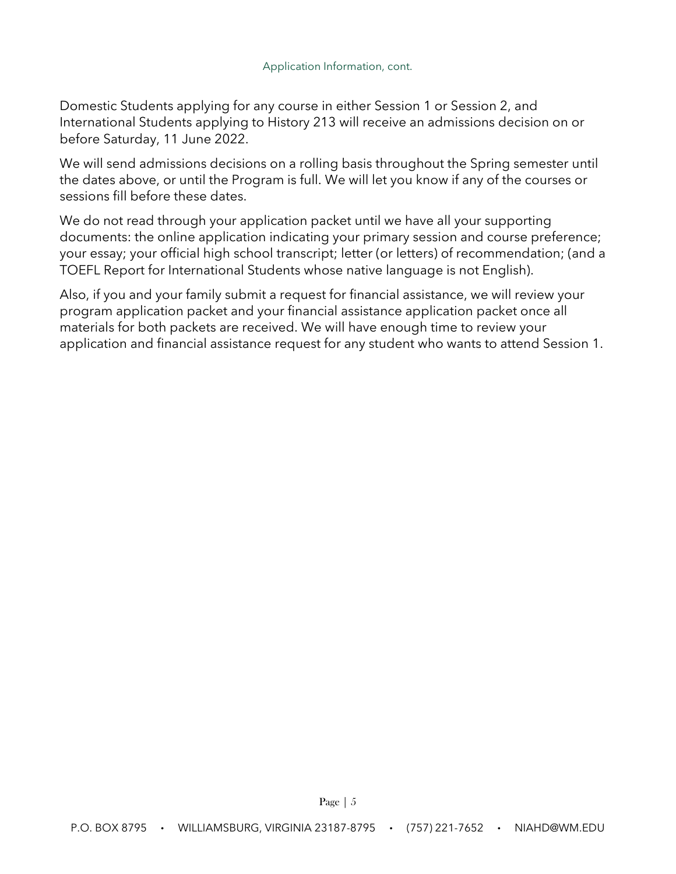Domestic Students applying for any course in either Session 1 or Session 2, and International Students applying to History 213 will receive an admissions decision on or before Saturday, 11 June 2022.

We will send admissions decisions on a rolling basis throughout the Spring semester until the dates above, or until the Program is full. We will let you know if any of the courses or sessions fill before these dates.

We do not read through your application packet until we have all your supporting documents: the online application indicating your primary session and course preference; your essay; your official high school transcript; letter (or letters) of recommendation; (and a TOEFL Report for International Students whose native language is not English).

Also, if you and your family submit a request for financial assistance, we will review your program application packet and your financial assistance application packet once all materials for both packets are received. We will have enough time to review your application and financial assistance request for any student who wants to attend Session 1.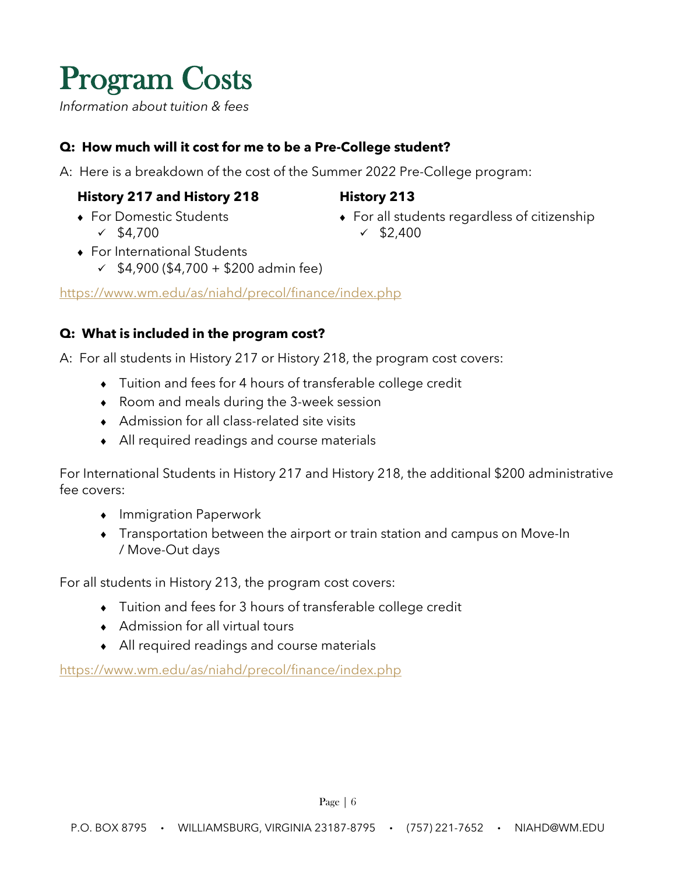# <span id="page-5-0"></span>**Program Costs**

*Information about tuition & fees*

### **Q: How much will it cost for me to be a Pre-College student?**

A: Here is a breakdown of the cost of the Summer 2022 Pre-College program:

### **History 217 and History 218 History 213**

♦ For Domestic Students  $\times$  \$4,700

- ♦ For all students regardless of citizenship  $\times$  \$2,400
- ♦ For International Students
	- $\checkmark$  \$4,900 (\$4,700 + \$200 admin fee)

<https://www.wm.edu/as/niahd/precol/finance/index.php>

### **Q: What is included in the program cost?**

A: For all students in History 217 or History 218, the program cost covers:

- ♦ Tuition and fees for 4 hours of transferable college credit
- ♦ Room and meals during the 3-week session
- ♦ Admission for all class-related site visits
- ♦ All required readings and course materials

For International Students in History 217 and History 218, the additional \$200 administrative fee covers:

- ♦ Immigration Paperwork
- ♦ Transportation between the airport or train station and campus on Move-In / Move-Out days

For all students in History 213, the program cost covers:

- ♦ Tuition and fees for 3 hours of transferable college credit
- ♦ Admission for all virtual tours
- ♦ All required readings and course materials

<https://www.wm.edu/as/niahd/precol/finance/index.php>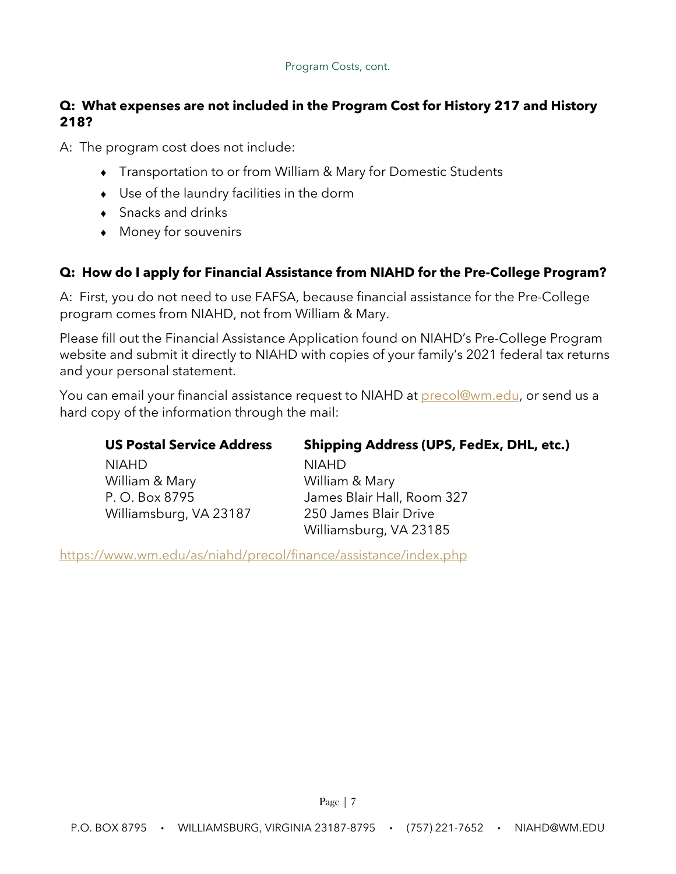### **Q: What expenses are not included in the Program Cost for History 217 and History 218?**

A: The program cost does not include:

- ♦ Transportation to or from William & Mary for Domestic Students
- ♦ Use of the laundry facilities in the dorm
- $\bullet$  Snacks and drinks
- ♦ Money for souvenirs

### **Q: How do I apply for Financial Assistance from NIAHD for the Pre-College Program?**

A: First, you do not need to use FAFSA, because financial assistance for the Pre-College program comes from NIAHD, not from William & Mary.

Please fill out the Financial Assistance Application found on NIAHD's Pre-College Program website and submit it directly to NIAHD with copies of your family's 2021 federal tax returns and your personal statement.

You can email your financial assistance request to NIAHD at **precol@wm.edu, or send us a** hard copy of the information through the mail:

| <b>US Postal Service Address</b> | <b>Shipping Address (UPS, FedEx, DHL, etc.)</b> |
|----------------------------------|-------------------------------------------------|
| <b>NIAHD</b>                     | <b>NIAHD</b>                                    |
| William & Mary                   | William & Mary                                  |
| P. O. Box 8795                   | James Blair Hall, Room 327                      |
| Williamsburg, VA 23187           | 250 James Blair Drive                           |
|                                  | Williamsburg, VA 23185                          |
|                                  |                                                 |

<https://www.wm.edu/as/niahd/precol/finance/assistance/index.php>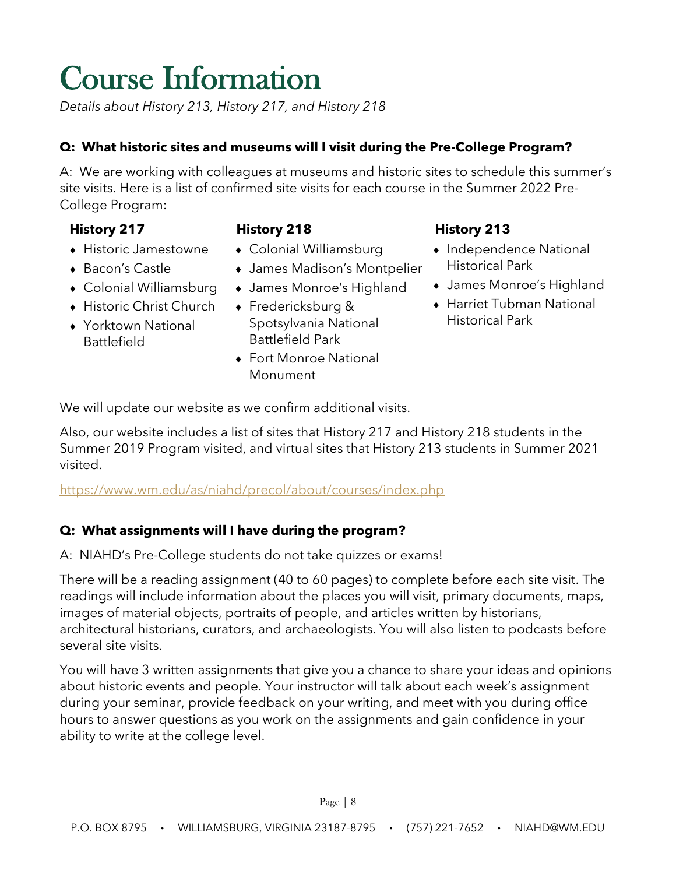# <span id="page-7-0"></span>**Course Information**

*Details about History 213, History 217, and History 218*

### **Q: What historic sites and museums will I visit during the Pre-College Program?**

A: We are working with colleagues at museums and historic sites to schedule this summer's site visits. Here is a list of confirmed site visits for each course in the Summer 2022 Pre-College Program:

- ♦ Historic Jamestowne
- ♦ Bacon's Castle
- ♦ Colonial Williamsburg
- ♦ Historic Christ Church
- ♦ Yorktown National Battlefield
- **History 217 History 218 History 213**
	- ♦ Colonial Williamsburg
	- ♦ James Madison's Montpelier
	- ♦ James Monroe's Highland
	- ♦ Fredericksburg & Spotsylvania National Battlefield Park
	- ♦ Fort Monroe National Monument

- ♦ Independence National Historical Park
- ♦ James Monroe's Highland
- ♦ Harriet Tubman National Historical Park

We will update our website as we confirm additional visits.

Also, our website includes a list of sites that History 217 and History 218 students in the Summer 2019 Program visited, and virtual sites that History 213 students in Summer 2021 visited.

<https://www.wm.edu/as/niahd/precol/about/courses/index.php>

### **Q: What assignments will I have during the program?**

A: NIAHD's Pre-College students do not take quizzes or exams!

There will be a reading assignment (40 to 60 pages) to complete before each site visit. The readings will include information about the places you will visit, primary documents, maps, images of material objects, portraits of people, and articles written by historians, architectural historians, curators, and archaeologists. You will also listen to podcasts before several site visits.

You will have 3 written assignments that give you a chance to share your ideas and opinions about historic events and people. Your instructor will talk about each week's assignment during your seminar, provide feedback on your writing, and meet with you during office hours to answer questions as you work on the assignments and gain confidence in your ability to write at the college level.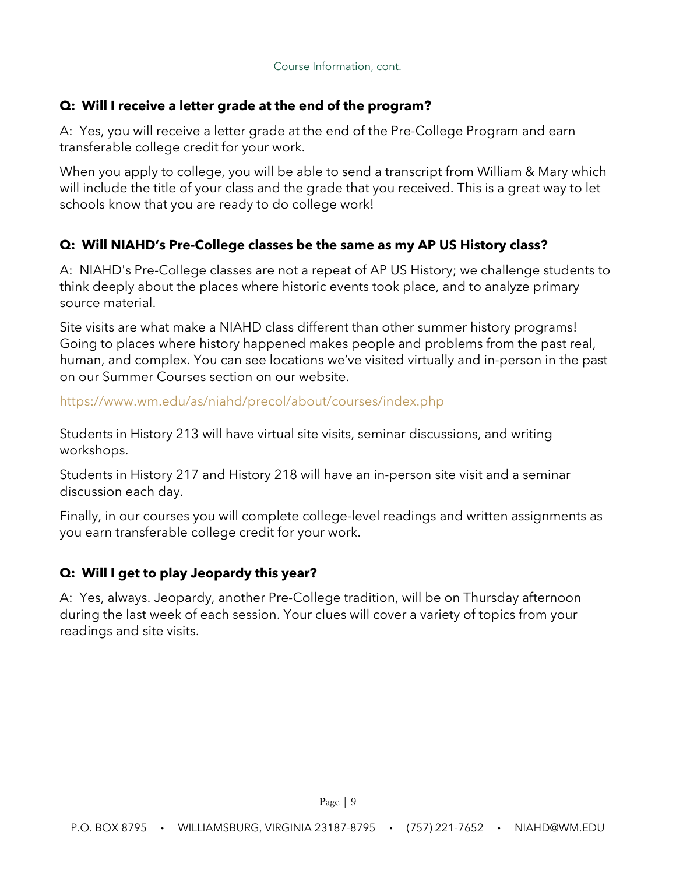### **Q: Will I receive a letter grade at the end of the program?**

A: Yes, you will receive a letter grade at the end of the Pre-College Program and earn transferable college credit for your work.

When you apply to college, you will be able to send a transcript from William & Mary which will include the title of your class and the grade that you received. This is a great way to let schools know that you are ready to do college work!

### **Q: Will NIAHD's Pre-College classes be the same as my AP US History class?**

A: NIAHD's Pre-College classes are not a repeat of AP US History; we challenge students to think deeply about the places where historic events took place, and to analyze primary source material.

Site visits are what make a NIAHD class different than other summer history programs! Going to places where history happened makes people and problems from the past real, human, and complex. You can see locations we've visited virtually and in-person in the past on our Summer Courses section on our website.

<https://www.wm.edu/as/niahd/precol/about/courses/index.php>

Students in History 213 will have virtual site visits, seminar discussions, and writing workshops.

Students in History 217 and History 218 will have an in-person site visit and a seminar discussion each day.

Finally, in our courses you will complete college-level readings and written assignments as you earn transferable college credit for your work.

### **Q: Will I get to play Jeopardy this year?**

A: Yes, always. Jeopardy, another Pre-College tradition, will be on Thursday afternoon during the last week of each session. Your clues will cover a variety of topics from your readings and site visits.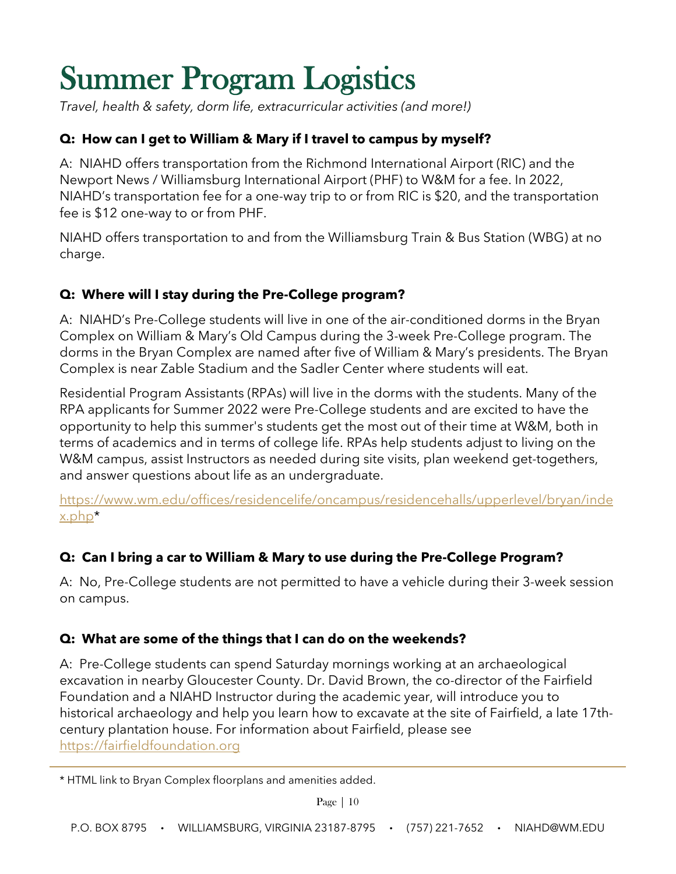# <span id="page-9-0"></span>**Summer Program Logistics**

*Travel, health & safety, dorm life, extracurricular activities (and more!)*

### **Q: How can I get to William & Mary if I travel to campus by myself?**

A: NIAHD offers transportation from the Richmond International Airport (RIC) and the Newport News / Williamsburg International Airport (PHF) to W&M for a fee. In 2022, NIAHD's transportation fee for a one-way trip to or from RIC is \$20, and the transportation fee is \$12 one-way to or from PHF.

NIAHD offers transportation to and from the Williamsburg Train & Bus Station (WBG) at no charge.

### **Q: Where will I stay during the Pre-College program?**

A: NIAHD's Pre-College students will live in one of the air-conditioned dorms in the Bryan Complex on William & Mary's Old Campus during the 3-week Pre-College program. The dorms in the Bryan Complex are named after five of William & Mary's presidents. The Bryan Complex is near Zable Stadium and the Sadler Center where students will eat.

Residential Program Assistants (RPAs) will live in the dorms with the students. Many of the RPA applicants for Summer 2022 were Pre-College students and are excited to have the opportunity to help this summer's students get the most out of their time at W&M, both in terms of academics and in terms of college life. RPAs help students adjust to living on the W&M campus, assist Instructors as needed during site visits, plan weekend get-togethers, and answer questions about life as an undergraduate.

[https://www.wm.edu/offices/residencelife/oncampus/residencehalls/upperlevel/bryan/inde](https://www.wm.edu/offices/residencelife/oncampus/residencehalls/upperlevel/bryan/index.php) [x.php\\*](https://www.wm.edu/offices/residencelife/oncampus/residencehalls/upperlevel/bryan/index.php)

### **Q: Can I bring a car to William & Mary to use during the Pre-College Program?**

A: No, Pre-College students are not permitted to have a vehicle during their 3-week session on campus.

### **Q: What are some of the things that I can do on the weekends?**

A: Pre-College students can spend Saturday mornings working at an archaeological excavation in nearby Gloucester County. Dr. David Brown, the co-director of the Fairfield Foundation and a NIAHD Instructor during the academic year, will introduce you to historical archaeology and help you learn how to excavate at the site of Fairfield, a late 17thcentury plantation house. For information about Fairfield, please see [https://fairfieldfoundation.org](https://fairfieldfoundation.org/)

<sup>\*</sup> HTML link to Bryan Complex floorplans and amenities added.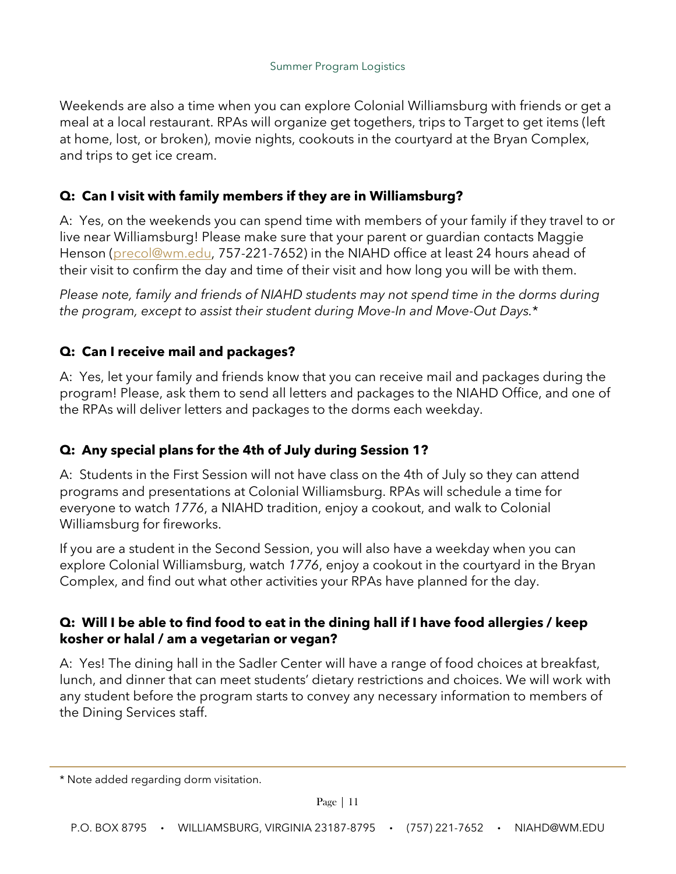Weekends are also a time when you can explore Colonial Williamsburg with friends or get a meal at a local restaurant. RPAs will organize get togethers, trips to Target to get items (left at home, lost, or broken), movie nights, cookouts in the courtyard at the Bryan Complex, and trips to get ice cream.

### **Q: Can I visit with family members if they are in Williamsburg?**

A: Yes, on the weekends you can spend time with members of your family if they travel to or live near Williamsburg! Please make sure that your parent or guardian contacts Maggie Henson [\(precol@wm.edu,](mailto:precol@wm.edu) 757-221-7652) in the NIAHD office at least 24 hours ahead of their visit to confirm the day and time of their visit and how long you will be with them.

*Please note, family and friends of NIAHD students may not spend time in the dorms during the program, except to assist their student during Move-In and Move-Out Days.*\*

### **Q: Can I receive mail and packages?**

A: Yes, let your family and friends know that you can receive mail and packages during the program! Please, ask them to send all letters and packages to the NIAHD Office, and one of the RPAs will deliver letters and packages to the dorms each weekday.

### **Q: Any special plans for the 4th of July during Session 1?**

A: Students in the First Session will not have class on the 4th of July so they can attend programs and presentations at Colonial Williamsburg. RPAs will schedule a time for everyone to watch *1776*, a NIAHD tradition, enjoy a cookout, and walk to Colonial Williamsburg for fireworks.

If you are a student in the Second Session, you will also have a weekday when you can explore Colonial Williamsburg, watch *1776*, enjoy a cookout in the courtyard in the Bryan Complex, and find out what other activities your RPAs have planned for the day.

### **Q: Will I be able to find food to eat in the dining hall if I have food allergies / keep kosher or halal / am a vegetarian or vegan?**

A: Yes! The dining hall in the Sadler Center will have a range of food choices at breakfast, lunch, and dinner that can meet students' dietary restrictions and choices. We will work with any student before the program starts to convey any necessary information to members of the Dining Services staff.

<sup>\*</sup> Note added regarding dorm visitation.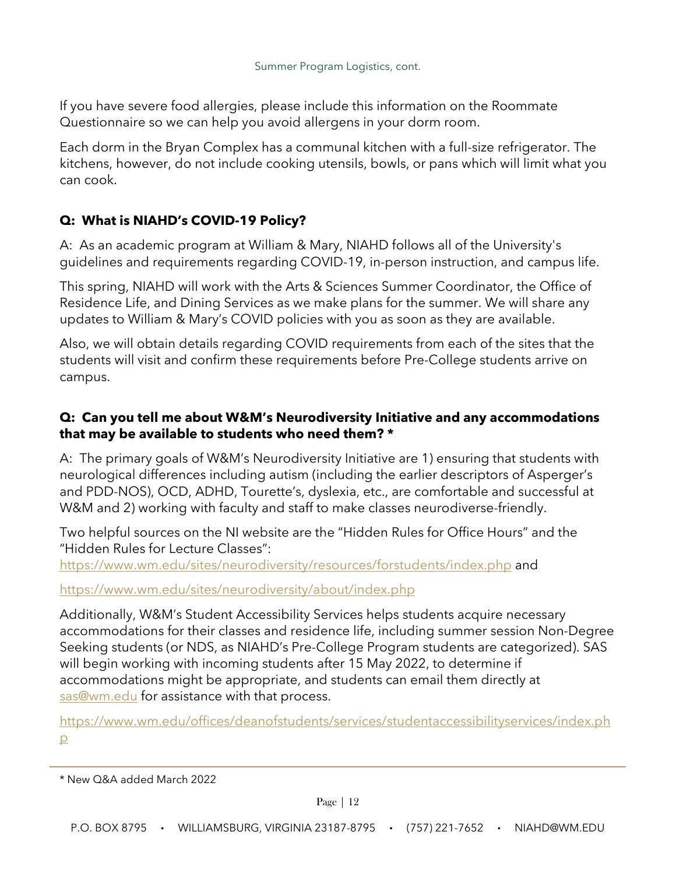If you have severe food allergies, please include this information on the Roommate Questionnaire so we can help you avoid allergens in your dorm room.

Each dorm in the Bryan Complex has a communal kitchen with a full-size refrigerator. The kitchens, however, do not include cooking utensils, bowls, or pans which will limit what you can cook.

### **Q: What is NIAHD's COVID-19 Policy?**

A: As an academic program at William & Mary, NIAHD follows all of the University's guidelines and requirements regarding COVID-19, in-person instruction, and campus life.

This spring, NIAHD will work with the Arts & Sciences Summer Coordinator, the Office of Residence Life, and Dining Services as we make plans for the summer. We will share any updates to William & Mary's COVID policies with you as soon as they are available.

Also, we will obtain details regarding COVID requirements from each of the sites that the students will visit and confirm these requirements before Pre-College students arrive on campus.

### **Q: Can you tell me about W&M's Neurodiversity Initiative and any accommodations that may be available to students who need them? \***

A: The primary goals of W&M's Neurodiversity Initiative are 1) ensuring that students with neurological differences including autism (including the earlier descriptors of Asperger's and PDD-NOS), OCD, ADHD, Tourette's, dyslexia, etc., are comfortable and successful at W&M and 2) working with faculty and staff to make classes neurodiverse-friendly.

Two helpful sources on the NI website are the "Hidden Rules for Office Hours" and the "Hidden Rules for Lecture Classes":

<https://www.wm.edu/sites/neurodiversity/resources/forstudents/index.php> and

<https://www.wm.edu/sites/neurodiversity/about/index.php>

Additionally, W&M's Student Accessibility Services helps students acquire necessary accommodations for their classes and residence life, including summer session Non-Degree Seeking students (or NDS, as NIAHD's Pre-College Program students are categorized). SAS will begin working with incoming students after 15 May 2022, to determine if accommodations might be appropriate, and students can email them directly at [sas@wm.edu](mailto:sas@wm.edu) for assistance with that process.

[https://www.wm.edu/offices/deanofstudents/services/studentaccessibilityservices/index.ph](https://www.wm.edu/offices/deanofstudents/services/studentaccessibilityservices/index.php) [p](https://www.wm.edu/offices/deanofstudents/services/studentaccessibilityservices/index.php)

<sup>\*</sup> New Q&A added March 2022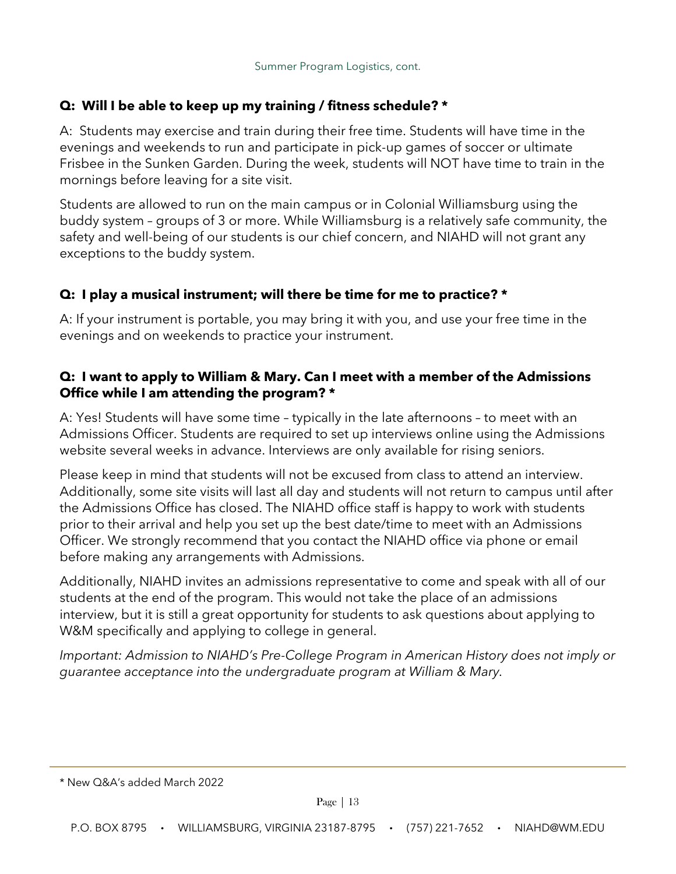### **Q: Will I be able to keep up my training / fitness schedule? \***

A:Students may exercise and train during their free time. Students will have time in the evenings and weekends to run and participate in pick-up games of soccer or ultimate Frisbee in the Sunken Garden. During the week, students will NOT have time to train in the mornings before leaving for a site visit.

Students are allowed to run on the main campus or in Colonial Williamsburg using the buddy system – groups of 3 or more. While Williamsburg is a relatively safe community, the safety and well-being of our students is our chief concern, and NIAHD will not grant any exceptions to the buddy system.

### **Q: I play a musical instrument; will there be time for me to practice? \***

A: If your instrument is portable, you may bring it with you, and use your free time in the evenings and on weekends to practice your instrument.

### **Q: I want to apply to William & Mary. Can I meet with a member of the Admissions Office while I am attending the program? \***

A: Yes! Students will have some time – typically in the late afternoons – to meet with an Admissions Officer. Students are required to set up interviews online using the Admissions website several weeks in advance. Interviews are only available for rising seniors.

Please keep in mind that students will not be excused from class to attend an interview. Additionally, some site visits will last all day and students will not return to campus until after the Admissions Office has closed. The NIAHD office staff is happy to work with students prior to their arrival and help you set up the best date/time to meet with an Admissions Officer. We strongly recommend that you contact the NIAHD office via phone or email before making any arrangements with Admissions.

Additionally, NIAHD invites an admissions representative to come and speak with all of our students at the end of the program. This would not take the place of an admissions interview, but it is still a great opportunity for students to ask questions about applying to W&M specifically and applying to college in general.

*Important: Admission to NIAHD's Pre-College Program in American History does not imply or guarantee acceptance into the undergraduate program at William & Mary.*

<sup>\*</sup> New Q&A's added March 2022